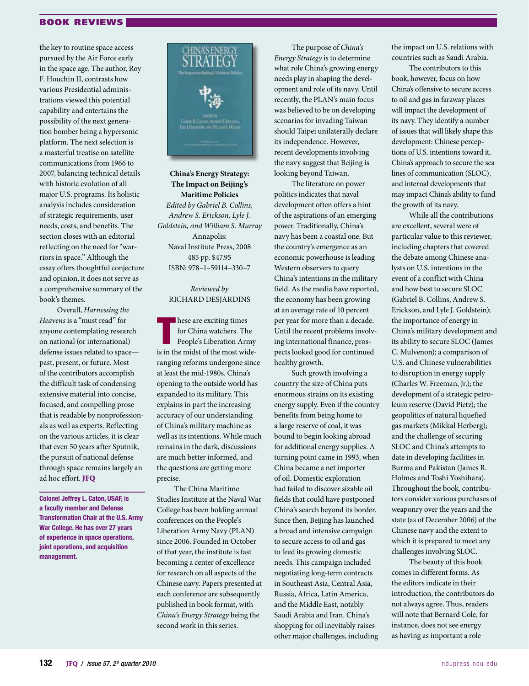## BOOK REVIEWS

the key to routine space access pursued by the Air Force early in the space age. The author, Roy F. Houchin II, contrasts how various Presidential administrations viewed this potential capability and entertains the possibility of the next generation bomber being a hypersonic platform. The next selection is a masterful treatise on satellite communications from 1966 to 2007, balancing technical details with historic evolution of all major U.S. programs. Its holistic analysis includes consideration of strategic requirements, user needs, costs, and benefits. The section closes with an editorial reflecting on the need for "warriors in space." Although the essay offers thoughtful conjecture and opinion, it does not serve as a comprehensive summary of the book's themes.

Overall, *Harnessing the Heavens* is a "must read" for anyone contemplating research on national (or international) defense issues related to space past, present, or future. Most of the contributors accomplish the difficult task of condensing extensive material into concise, focused, and compelling prose that is readable by nonprofessionals as well as experts. Reflecting on the various articles, it is clear that even 50 years after Sputnik, the pursuit of national defense through space remains largely an ad hoc effort. JFQ

Colonel Jeffrey L. Caton, USAF, is a faculty member and Defense Transformation Chair at the U.S. Army War College. He has over 27 years of experience in space operations, joint operations, and acquisition management.



**China's Energy Strategy: The Impact on Beijing's Maritime Policies** *Edited by Gabriel B. Collins, Andrew S. Erickson, Lyle J. Goldstein, and William S. Murray* Annapolis: Naval Institute Press, 2008 485 pp. \$47.95 ISBN: 978–1–59114–330–7

## *Reviewed by* Richard Desjardins

hese are exciting times<br>for China watchers. The<br>People's Liberation Army<br>is in the midst of the most wide**hese are exciting times** for China watchers. The People's Liberation Army ranging reforms undergone since at least the mid-1980s. China's opening to the outside world has expanded to its military. This explains in part the increasing accuracy of our understanding of China's military machine as well as its intentions. While much remains in the dark, discussions are much better informed, and the questions are getting more precise.

The China Maritime Studies Institute at the Naval War College has been holding annual conferences on the People's Liberation Army Navy (PLAN) since 2006. Founded in October of that year, the institute is fast becoming a center of excellence for research on all aspects of the Chinese navy. Papers presented at each conference are subsequently published in book format, with *China's Energy Strategy* being the second work in this series.

The purpose of *China's Energy Strategy* is to determine what role China's growing energy needs play in shaping the development and role of its navy. Until recently, the PLAN's main focus was believed to be on developing scenarios for invading Taiwan should Taipei unilaterally declare its independence. However, recent developments involving the navy suggest that Beijing is looking beyond Taiwan.

The literature on power politics indicates that naval development often offers a hint of the aspirations of an emerging power. Traditionally, China's navy has been a coastal one. But the country's emergence as an economic powerhouse is leading Western observers to query China's intentions in the military field. As the media have reported, the economy has been growing at an average rate of 10 percent per year for more than a decade. Until the recent problems involving international finance, prospects looked good for continued healthy growth.

Such growth involving a country the size of China puts enormous strains on its existing energy supply. Even if the country benefits from being home to a large reserve of coal, it was bound to begin looking abroad for additional energy supplies. A turning point came in 1993, when China became a net importer of oil. Domestic exploration had failed to discover sizable oil fields that could have postponed China's search beyond its border. Since then, Beijing has launched a broad and intensive campaign to secure access to oil and gas to feed its growing domestic needs. This campaign included negotiating long-term contracts in Southeast Asia, Central Asia, Russia, Africa, Latin America, and the Middle East, notably Saudi Arabia and Iran. China's shopping for oil inevitably raises other major challenges, including

the impact on U.S. relations with countries such as Saudi Arabia.

The contributors to this book, however, focus on how China's offensive to secure access to oil and gas in faraway places will impact the development of its navy. They identify a number of issues that will likely shape this development: Chinese perceptions of U.S. intentions toward it, China's approach to secure the sea lines of communication (SLOC), and internal developments that may impact China's ability to fund the growth of its navy.

While all the contributions are excellent, several were of particular value to this reviewer, including chapters that covered the debate among Chinese analysts on U.S. intentions in the event of a conflict with China and how best to secure SLOC (Gabriel B. Collins, Andrew S. Erickson, and Lyle J. Goldstein); the importance of energy in China's military development and its ability to secure SLOC (James C. Mulvenon); a comparison of U.S. and Chinese vulnerabilities to disruption in energy supply (Charles W. Freeman, Jr.); the development of a strategic petroleum reserve (David Pietz); the geopolitics of natural liquefied gas markets (Mikkal Herberg); and the challenge of securing SLOC and China's attempts to date in developing facilities in Burma and Pakistan (James R. Holmes and Toshi Yoshihara). Throughout the book, contributors consider various purchases of weaponry over the years and the state (as of December 2006) of the Chinese navy and the extent to which it is prepared to meet any challenges involving SLOC.

The beauty of this book comes in different forms. As the editors indicate in their introduction, the contributors do not always agree. Thus, readers will note that Bernard Cole, for instance, does not see energy as having as important a role